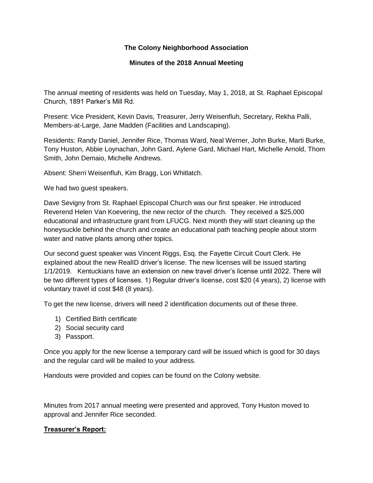# **The Colony Neighborhood Association**

# **Minutes of the 2018 Annual Meeting**

The annual meeting of residents was held on Tuesday, May 1, 2018, at St. Raphael Episcopal Church, 1891 Parker's Mill Rd.

Present: Vice President, Kevin Davis, Treasurer, Jerry Weisenfluh, Secretary, Rekha Palli, Members-at-Large, Jane Madden (Facilities and Landscaping).

Residents: Randy Daniel, Jennifer Rice, Thomas Ward, Neal Werner, John Burke, Marti Burke, Tony Huston, Abbie Loynachan, John Gard, Aylene Gard, Michael Hart, Michelle Arnold, Thom Smith, John Demaio, Michelle Andrews.

Absent: Sherri Weisenfluh, Kim Bragg, Lori Whitlatch.

We had two guest speakers.

Dave Sevigny from St. Raphael Episcopal Church was our first speaker. He introduced Reverend Helen Van Koevering, the new rector of the church. They received a \$25,000 educational and infrastructure grant from LFUCG. Next month they will start cleaning up the honeysuckle behind the church and create an educational path teaching people about storm water and native plants among other topics.

Our second guest speaker was Vincent Riggs, Esq. the Fayette Circuit Court Clerk. He explained about the new RealID driver's license. The new licenses will be issued starting 1/1/2019. Kentuckians have an extension on new travel driver's license until 2022. There will be two different types of licenses. 1) Regular driver's license, cost \$20 (4 years), 2) license with voluntary travel id cost \$48 (8 years).

To get the new license, drivers will need 2 identification documents out of these three.

- 1) Certified Birth certificate
- 2) Social security card
- 3) Passport.

Once you apply for the new license a temporary card will be issued which is good for 30 days and the regular card will be mailed to your address.

Handouts were provided and copies can be found on the Colony website.

Minutes from 2017 annual meeting were presented and approved, Tony Huston moved to approval and Jennifer Rice seconded.

# **Treasurer's Report:**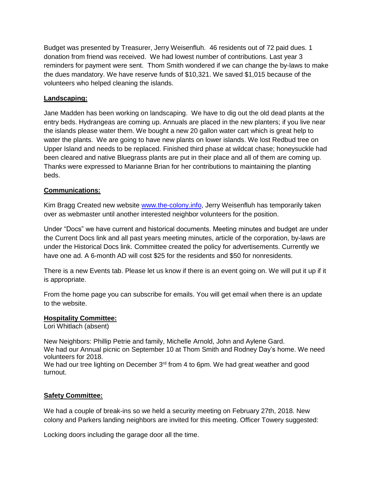Budget was presented by Treasurer, Jerry Weisenfluh. 46 residents out of 72 paid dues. 1 donation from friend was received. We had lowest number of contributions. Last year 3 reminders for payment were sent. Thom Smith wondered if we can change the by-laws to make the dues mandatory. We have reserve funds of \$10,321. We saved \$1,015 because of the volunteers who helped cleaning the islands.

# **Landscaping:**

Jane Madden has been working on landscaping. We have to dig out the old dead plants at the entry beds. Hydrangeas are coming up. Annuals are placed in the new planters; if you live near the islands please water them. We bought a new 20 gallon water cart which is great help to water the plants. We are going to have new plants on lower islands. We lost Redbud tree on Upper Island and needs to be replaced. Finished third phase at wildcat chase; honeysuckle had been cleared and native Bluegrass plants are put in their place and all of them are coming up. Thanks were expressed to Marianne Brian for her contributions to maintaining the planting beds.

# **Communications:**

Kim Bragg Created new website [www.the-colony.info,](http://www.the-colony.info/) Jerry Weisenfluh has temporarily taken over as webmaster until another interested neighbor volunteers for the position.

Under "Docs" we have current and historical documents. Meeting minutes and budget are under the Current Docs link and all past years meeting minutes, article of the corporation, by-laws are under the Historical Docs link. Committee created the policy for advertisements. Currently we have one ad. A 6-month AD will cost \$25 for the residents and \$50 for nonresidents.

There is a new Events tab. Please let us know if there is an event going on. We will put it up if it is appropriate.

From the home page you can subscribe for emails. You will get email when there is an update to the website.

# **Hospitality Committee:**

Lori Whitlach (absent)

New Neighbors: Phillip Petrie and family, Michelle Arnold, John and Aylene Gard. We had our Annual picnic on September 10 at Thom Smith and Rodney Day's home. We need

volunteers for 2018. We had our tree lighting on December 3<sup>rd</sup> from 4 to 6pm. We had great weather and good

turnout.

# **Safety Committee:**

We had a couple of break-ins so we held a security meeting on February 27th, 2018. New colony and Parkers landing neighbors are invited for this meeting. Officer Towery suggested:

Locking doors including the garage door all the time.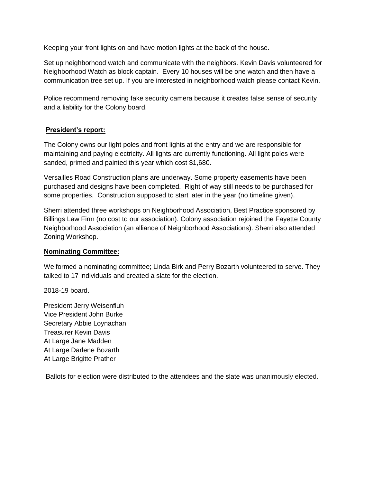Keeping your front lights on and have motion lights at the back of the house.

Set up neighborhood watch and communicate with the neighbors. Kevin Davis volunteered for Neighborhood Watch as block captain. Every 10 houses will be one watch and then have a communication tree set up. If you are interested in neighborhood watch please contact Kevin.

Police recommend removing fake security camera because it creates false sense of security and a liability for the Colony board.

# **President's report:**

The Colony owns our light poles and front lights at the entry and we are responsible for maintaining and paying electricity. All lights are currently functioning. All light poles were sanded, primed and painted this year which cost \$1,680.

Versailles Road Construction plans are underway. Some property easements have been purchased and designs have been completed. Right of way still needs to be purchased for some properties. Construction supposed to start later in the year (no timeline given).

Sherri attended three workshops on Neighborhood Association, Best Practice sponsored by Billings Law Firm (no cost to our association). Colony association rejoined the Fayette County Neighborhood Association (an alliance of Neighborhood Associations). Sherri also attended Zoning Workshop.

# **Nominating Committee:**

We formed a nominating committee; Linda Birk and Perry Bozarth volunteered to serve. They talked to 17 individuals and created a slate for the election.

2018-19 board.

President Jerry Weisenfluh Vice President John Burke Secretary Abbie Loynachan Treasurer Kevin Davis At Large Jane Madden At Large Darlene Bozarth At Large Brigitte Prather

Ballots for election were distributed to the attendees and the slate was unanimously elected.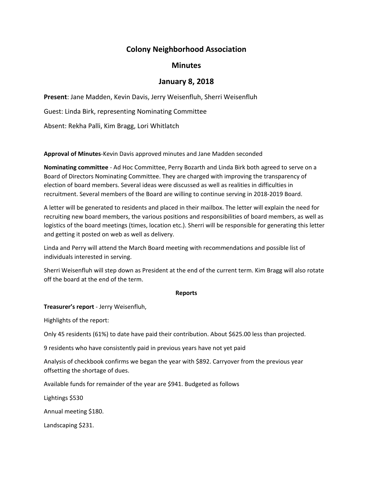# **Colony Neighborhood Association**

# **Minutes**

# **January 8, 2018**

**Present**: Jane Madden, Kevin Davis, Jerry Weisenfluh, Sherri Weisenfluh

Guest: Linda Birk, representing Nominating Committee

Absent: Rekha Palli, Kim Bragg, Lori Whitlatch

**Approval of Minutes**‐Kevin Davis approved minutes and Jane Madden seconded

**Nominating committee** ‐ Ad Hoc Committee, Perry Bozarth and Linda Birk both agreed to serve on a Board of Directors Nominating Committee. They are charged with improving the transparency of election of board members. Several ideas were discussed as well as realities in difficulties in recruitment. Several members of the Board are willing to continue serving in 2018‐2019 Board.

A letter will be generated to residents and placed in their mailbox. The letter will explain the need for recruiting new board members, the various positions and responsibilities of board members, as well as logistics of the board meetings (times, location etc.). Sherri will be responsible for generating this letter and getting it posted on web as well as delivery.

Linda and Perry will attend the March Board meeting with recommendations and possible list of individuals interested in serving.

Sherri Weisenfluh will step down as President at the end of the current term. Kim Bragg will also rotate off the board at the end of the term.

#### **Reports**

# **Treasurer's report** ‐ Jerry Weisenfluh,

Highlights of the report:

Only 45 residents (61%) to date have paid their contribution. About \$625.00 less than projected.

9 residents who have consistently paid in previous years have not yet paid

Analysis of checkbook confirms we began the year with \$892. Carryover from the previous year offsetting the shortage of dues.

Available funds for remainder of the year are \$941. Budgeted as follows

Lightings \$530

Annual meeting \$180.

Landscaping \$231.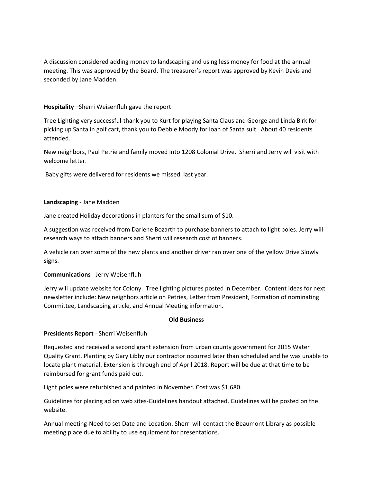A discussion considered adding money to landscaping and using less money for food at the annual meeting. This was approved by the Board. The treasurer's report was approved by Kevin Davis and seconded by Jane Madden.

#### **Hospitality** –Sherri Weisenfluh gave the report

Tree Lighting very successful‐thank you to Kurt for playing Santa Claus and George and Linda Birk for picking up Santa in golf cart, thank you to Debbie Moody for loan of Santa suit. About 40 residents attended.

New neighbors, Paul Petrie and family moved into 1208 Colonial Drive. Sherri and Jerry will visit with welcome letter.

Baby gifts were delivered for residents we missed last year.

#### **Landscaping** ‐ Jane Madden

Jane created Holiday decorations in planters for the small sum of \$10.

A suggestion was received from Darlene Bozarth to purchase banners to attach to light poles. Jerry will research ways to attach banners and Sherri will research cost of banners.

A vehicle ran over some of the new plants and another driver ran over one of the yellow Drive Slowly signs.

#### **Communications** ‐ Jerry Weisenfluh

Jerry will update website for Colony. Tree lighting pictures posted in December. Content ideas for next newsletter include: New neighbors article on Petries, Letter from President, Formation of nominating Committee, Landscaping article, and Annual Meeting information.

#### **Old Business**

#### **Presidents Report** ‐ Sherri Weisenfluh

Requested and received a second grant extension from urban county government for 2015 Water Quality Grant. Planting by Gary Libby our contractor occurred later than scheduled and he was unable to locate plant material. Extension is through end of April 2018. Report will be due at that time to be reimbursed for grant funds paid out.

Light poles were refurbished and painted in November. Cost was \$1,680.

Guidelines for placing ad on web sites‐Guidelines handout attached. Guidelines will be posted on the website.

Annual meeting‐Need to set Date and Location. Sherri will contact the Beaumont Library as possible meeting place due to ability to use equipment for presentations.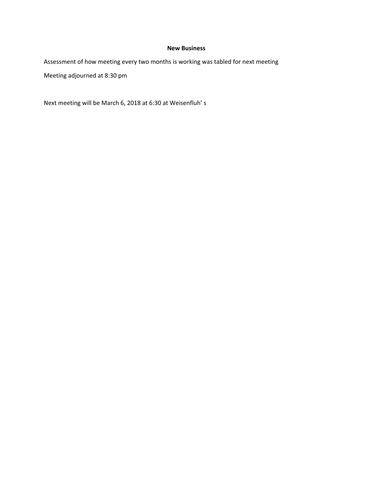#### **New Business**

Assessment of how meeting every two months is working was tabled for next meeting

Meeting adjourned at 8:30 pm

Next meeting will be March 6, 2018 at 6:30 at Weisenfluh' s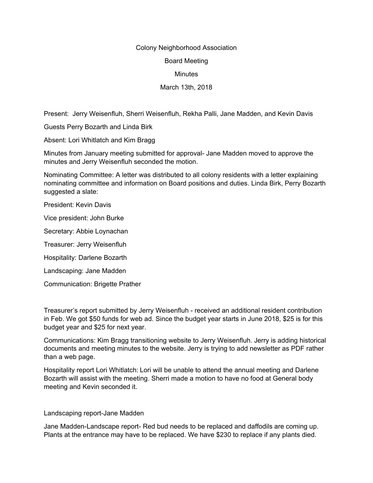#### Colony Neighborhood Association

Board Meeting

**Minutes** 

March 13th, 2018

Present: Jerry Weisenfluh, Sherri Weisenfluh, Rekha Palli, Jane Madden, and Kevin Davis

Guests Perry Bozarth and Linda Birk

Absent: Lori Whitlatch and Kim Bragg

Minutes from January meeting submitted for approval- Jane Madden moved to approve the minutes and Jerry Weisenfluh seconded the motion.

Nominating Committee: A letter was distributed to all colony residents with a letter explaining nominating committee and information on Board positions and duties. Linda Birk, Perry Bozarth suggested a slate:

President: Kevin Davis

Vice president: John Burke

Secretary: Abbie Loynachan

Treasurer: Jerry Weisenfluh

Hospitality: Darlene Bozarth

Landscaping: Jane Madden

Communication: Brigette Prather

Treasurer's report submitted by Jerry Weisenfluh - received an additional resident contribution in Feb. We got \$50 funds for web ad. Since the budget year starts in June 2018, \$25 is for this budget year and \$25 for next year.

Communications: Kim Bragg transitioning website to Jerry Weisenfluh. Jerry is adding historical documents and meeting minutes to the website. Jerry is trying to add newsletter as PDF rather than a web page.

Hospitality report Lori Whitlatch: Lori will be unable to attend the annual meeting and Darlene Bozarth will assist with the meeting. Sherri made a motion to have no food at General body meeting and Kevin seconded it.

Landscaping report-Jane Madden

Jane Madden-Landscape report- Red bud needs to be replaced and daffodils are coming up. Plants at the entrance may have to be replaced. We have \$230 to replace if any plants died.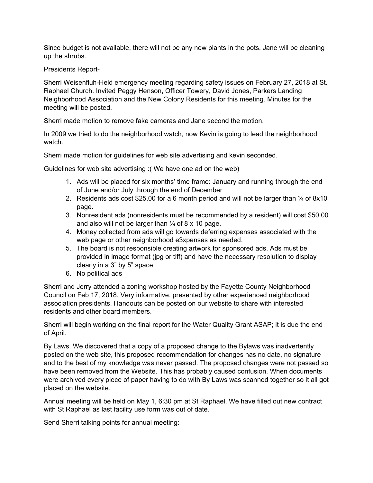Since budget is not available, there will not be any new plants in the pots. Jane will be cleaning up the shrubs.

# Presidents Report-

Sherri Weisenfluh-Held emergency meeting regarding safety issues on February 27, 2018 at St. Raphael Church. Invited Peggy Henson, Officer Towery, David Jones, Parkers Landing Neighborhood Association and the New Colony Residents for this meeting. Minutes for the meeting will be posted.

Sherri made motion to remove fake cameras and Jane second the motion.

In 2009 we tried to do the neighborhood watch, now Kevin is going to lead the neighborhood watch.

Sherri made motion for guidelines for web site advertising and kevin seconded.

Guidelines for web site advertising :( We have one ad on the web)

- 1. Ads will be placed for six months' time frame: January and running through the end of June and/or July through the end of December
- 2. Residents ads cost \$25.00 for a 6 month period and will not be larger than  $\frac{1}{4}$  of 8x10 page.
- 3. Nonresident ads (nonresidents must be recommended by a resident) will cost \$50.00 and also will not be larger than  $\frac{1}{4}$  of 8 x 10 page.
- 4. Money collected from ads will go towards deferring expenses associated with the web page or other neighborhood e3xpenses as needed.
- 5. The board is not responsible creating artwork for sponsored ads. Ads must be provided in image format (jpg or tiff) and have the necessary resolution to display clearly in a 3" by 5" space.
- 6. No political ads

Sherri and Jerry attended a zoning workshop hosted by the Fayette County Neighborhood Council on Feb 17, 2018. Very informative, presented by other experienced neighborhood association presidents. Handouts can be posted on our website to share with interested residents and other board members.

Sherri will begin working on the final report for the Water Quality Grant ASAP; it is due the end of April.

By Laws. We discovered that a copy of a proposed change to the Bylaws was inadvertently posted on the web site, this proposed recommendation for changes has no date, no signature and to the best of my knowledge was never passed. The proposed changes were not passed so have been removed from the Website. This has probably caused confusion. When documents were archived every piece of paper having to do with By Laws was scanned together so it all got placed on the website.

Annual meeting will be held on May 1, 6:30 pm at St Raphael. We have filled out new contract with St Raphael as last facility use form was out of date.

Send Sherri talking points for annual meeting: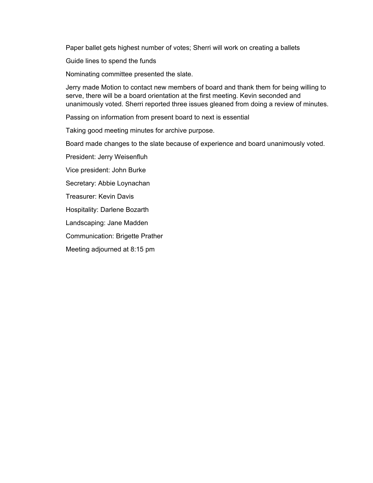Paper ballet gets highest number of votes; Sherri will work on creating a ballets

Guide lines to spend the funds

Nominating committee presented the slate.

Jerry made Motion to contact new members of board and thank them for being willing to serve, there will be a board orientation at the first meeting. Kevin seconded and unanimously voted. Sherri reported three issues gleaned from doing a review of minutes.

Passing on information from present board to next is essential

Taking good meeting minutes for archive purpose.

Board made changes to the slate because of experience and board unanimously voted.

President: Jerry Weisenfluh

Vice president: John Burke

Secretary: Abbie Loynachan

Treasurer: Kevin Davis

Hospitality: Darlene Bozarth

Landscaping: Jane Madden

Communication: Brigette Prather

Meeting adjourned at 8:15 pm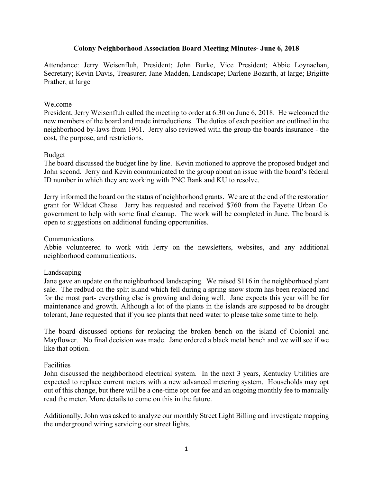# **Colony Neighborhood Association Board Meeting Minutes- June 6, 2018**

Attendance: Jerry Weisenfluh, President; John Burke, Vice President; Abbie Loynachan, Secretary; Kevin Davis, Treasurer; Jane Madden, Landscape; Darlene Bozarth, at large; Brigitte Prather, at large

# Welcome

President, Jerry Weisenfluh called the meeting to order at 6:30 on June 6, 2018. He welcomed the new members of the board and made introductions. The duties of each position are outlined in the neighborhood by-laws from 1961. Jerry also reviewed with the group the boards insurance - the cost, the purpose, and restrictions.

# Budget

The board discussed the budget line by line. Kevin motioned to approve the proposed budget and John second. Jerry and Kevin communicated to the group about an issue with the board's federal ID number in which they are working with PNC Bank and KU to resolve.

Jerry informed the board on the status of neighborhood grants. We are at the end of the restoration grant for Wildcat Chase. Jerry has requested and received \$760 from the Fayette Urban Co. government to help with some final cleanup. The work will be completed in June. The board is open to suggestions on additional funding opportunities.

# Communications

Abbie volunteered to work with Jerry on the newsletters, websites, and any additional neighborhood communications.

# Landscaping

Jane gave an update on the neighborhood landscaping. We raised \$116 in the neighborhood plant sale. The redbud on the split island which fell during a spring snow storm has been replaced and for the most part- everything else is growing and doing well. Jane expects this year will be for maintenance and growth. Although a lot of the plants in the islands are supposed to be drought tolerant, Jane requested that if you see plants that need water to please take some time to help.

The board discussed options for replacing the broken bench on the island of Colonial and Mayflower. No final decision was made. Jane ordered a black metal bench and we will see if we like that option.

# Facilities

John discussed the neighborhood electrical system. In the next 3 years, Kentucky Utilities are expected to replace current meters with a new advanced metering system. Households may opt out of this change, but there will be a one-time opt out fee and an ongoing monthly fee to manually read the meter. More details to come on this in the future.

Additionally, John was asked to analyze our monthly Street Light Billing and investigate mapping the underground wiring servicing our street lights.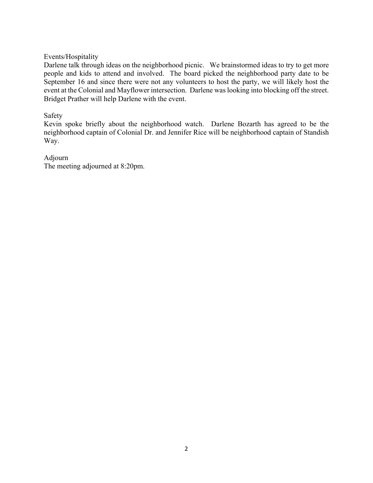Events/Hospitality

Darlene talk through ideas on the neighborhood picnic. We brainstormed ideas to try to get more people and kids to attend and involved. The board picked the neighborhood party date to be September 16 and since there were not any volunteers to host the party, we will likely host the event at the Colonial and Mayflower intersection. Darlene was looking into blocking off the street. Bridget Prather will help Darlene with the event.

# Safety

Kevin spoke briefly about the neighborhood watch. Darlene Bozarth has agreed to be the neighborhood captain of Colonial Dr. and Jennifer Rice will be neighborhood captain of Standish Way.

# Adjourn

The meeting adjourned at 8:20pm.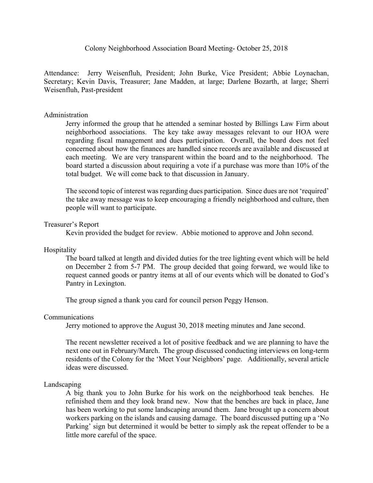Colony Neighborhood Association Board Meeting- October 25, 2018

Attendance: Jerry Weisenfluh, President; John Burke, Vice President; Abbie Loynachan, Secretary; Kevin Davis, Treasurer; Jane Madden, at large; Darlene Bozarth, at large; Sherri Weisenfluh, Past-president

# Administration

Jerry informed the group that he attended a seminar hosted by Billings Law Firm about neighborhood associations. The key take away messages relevant to our HOA were regarding fiscal management and dues participation. Overall, the board does not feel concerned about how the finances are handled since records are available and discussed at each meeting. We are very transparent within the board and to the neighborhood. The board started a discussion about requiring a vote if a purchase was more than 10% of the total budget. We will come back to that discussion in January.

The second topic of interest was regarding dues participation. Since dues are not 'required' the take away message was to keep encouraging a friendly neighborhood and culture, then people will want to participate.

# Treasurer's Report

Kevin provided the budget for review. Abbie motioned to approve and John second.

# Hospitality

The board talked at length and divided duties for the tree lighting event which will be held on December 2 from 5-7 PM. The group decided that going forward, we would like to request canned goods or pantry items at all of our events which will be donated to God's Pantry in Lexington.

The group signed a thank you card for council person Peggy Henson.

#### Communications

Jerry motioned to approve the August 30, 2018 meeting minutes and Jane second.

The recent newsletter received a lot of positive feedback and we are planning to have the next one out in February/March. The group discussed conducting interviews on long-term residents of the Colony for the 'Meet Your Neighbors' page. Additionally, several article ideas were discussed.

#### Landscaping

A big thank you to John Burke for his work on the neighborhood teak benches. He refinished them and they look brand new. Now that the benches are back in place, Jane has been working to put some landscaping around them. Jane brought up a concern about workers parking on the islands and causing damage. The board discussed putting up a 'No Parking' sign but determined it would be better to simply ask the repeat offender to be a little more careful of the space.